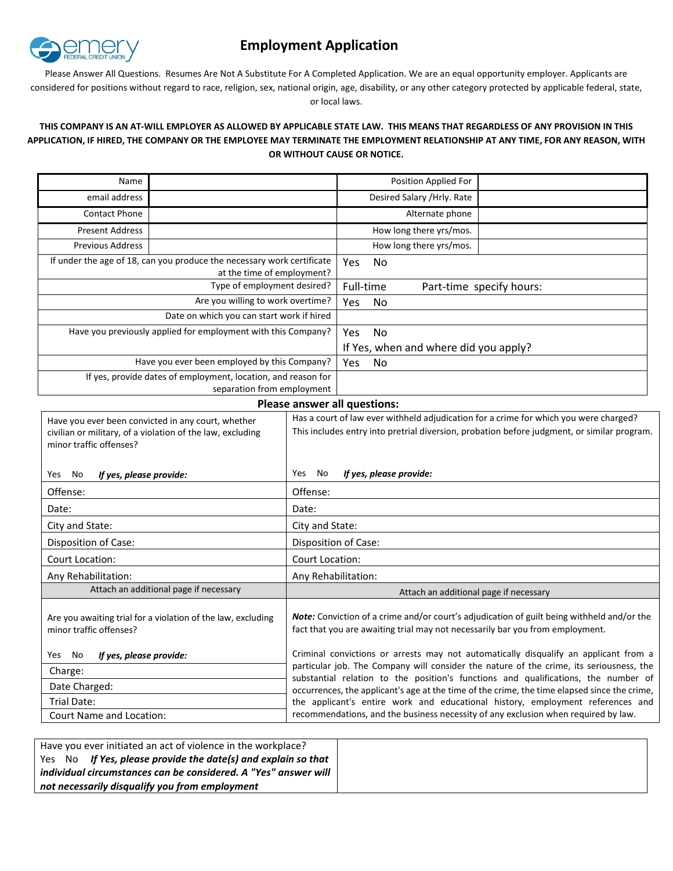

# **Employment Application**

Please Answer All Questions. Resumes Are Not A Substitute For A Completed Application. We are an equal opportunity employer. Applicants are considered for positions without regard to race, religion, sex, national origin, age, disability, or any other category protected by applicable federal, state, or local laws.

## **THIS COMPANY IS AN AT-WILL EMPLOYER AS ALLOWED BY APPLICABLE STATE LAW. THIS MEANS THAT REGARDLESS OF ANY PROVISION IN THIS APPLICATION, IF HIRED, THE COMPANY OR THE EMPLOYEE MAY TERMINATE THE EMPLOYMENT RELATIONSHIP AT ANY TIME, FOR ANY REASON, WITH OR WITHOUT CAUSE OR NOTICE.**

| Name                                                                                                 |  |                             |     | Position Applied For                  |                          |
|------------------------------------------------------------------------------------------------------|--|-----------------------------|-----|---------------------------------------|--------------------------|
| email address                                                                                        |  | Desired Salary / Hrly. Rate |     |                                       |                          |
| <b>Contact Phone</b>                                                                                 |  |                             |     | Alternate phone                       |                          |
| <b>Present Address</b>                                                                               |  |                             |     | How long there yrs/mos.               |                          |
| <b>Previous Address</b>                                                                              |  |                             |     | How long there yrs/mos.               |                          |
| If under the age of 18, can you produce the necessary work certificate<br>at the time of employment? |  | <b>Yes</b>                  | No. |                                       |                          |
| Type of employment desired?                                                                          |  | Full-time                   |     |                                       | Part-time specify hours: |
| Are you willing to work overtime?                                                                    |  | Yes                         | No. |                                       |                          |
| Date on which you can start work if hired                                                            |  |                             |     |                                       |                          |
| Have you previously applied for employment with this Company?                                        |  | Yes.                        | No. |                                       |                          |
|                                                                                                      |  |                             |     | If Yes, when and where did you apply? |                          |
| Have you ever been employed by this Company?                                                         |  | Yes                         | No  |                                       |                          |
| If yes, provide dates of employment, location, and reason for<br>separation from employment          |  |                             |     |                                       |                          |

#### **Please answer all questions:**

| Have you ever been convicted in any court, whether<br>civilian or military, of a violation of the law, excluding<br>minor traffic offenses? | Has a court of law ever withheld adjudication for a crime for which you were charged?<br>This includes entry into pretrial diversion, probation before judgment, or similar program. |  |  |
|---------------------------------------------------------------------------------------------------------------------------------------------|--------------------------------------------------------------------------------------------------------------------------------------------------------------------------------------|--|--|
| If yes, please provide:<br>No<br>Yes                                                                                                        | If yes, please provide:<br>Yes<br>No                                                                                                                                                 |  |  |
| Offense:                                                                                                                                    | Offense:                                                                                                                                                                             |  |  |
| Date:                                                                                                                                       | Date:                                                                                                                                                                                |  |  |
| City and State:                                                                                                                             | City and State:                                                                                                                                                                      |  |  |
| Disposition of Case:                                                                                                                        | Disposition of Case:                                                                                                                                                                 |  |  |
| <b>Court Location:</b>                                                                                                                      | <b>Court Location:</b>                                                                                                                                                               |  |  |
| Any Rehabilitation:                                                                                                                         | Any Rehabilitation:                                                                                                                                                                  |  |  |
| Attach an additional page if necessary                                                                                                      | Attach an additional page if necessary                                                                                                                                               |  |  |
| Are you awaiting trial for a violation of the law, excluding<br>minor traffic offenses?                                                     | <b>Note:</b> Conviction of a crime and/or court's adjudication of guilt being withheld and/or the<br>fact that you are awaiting trial may not necessarily bar you from employment.   |  |  |
| Yes<br>No<br>If yes, please provide:                                                                                                        | Criminal convictions or arrests may not automatically disqualify an applicant from a                                                                                                 |  |  |
| Charge:                                                                                                                                     | particular job. The Company will consider the nature of the crime, its seriousness, the<br>substantial relation to the position's functions and qualifications, the number of        |  |  |
| Date Charged:                                                                                                                               | occurrences, the applicant's age at the time of the crime, the time elapsed since the crime,                                                                                         |  |  |
| Trial Date:                                                                                                                                 | the applicant's entire work and educational history, employment references and                                                                                                       |  |  |
| <b>Court Name and Location:</b>                                                                                                             | recommendations, and the business necessity of any exclusion when required by law.                                                                                                   |  |  |

| Have you ever initiated an act of violence in the workplace?    |  |
|-----------------------------------------------------------------|--|
| Yes No If Yes, please provide the date(s) and explain so that   |  |
| individual circumstances can be considered. A "Yes" answer will |  |
| not necessarily disqualify you from employment                  |  |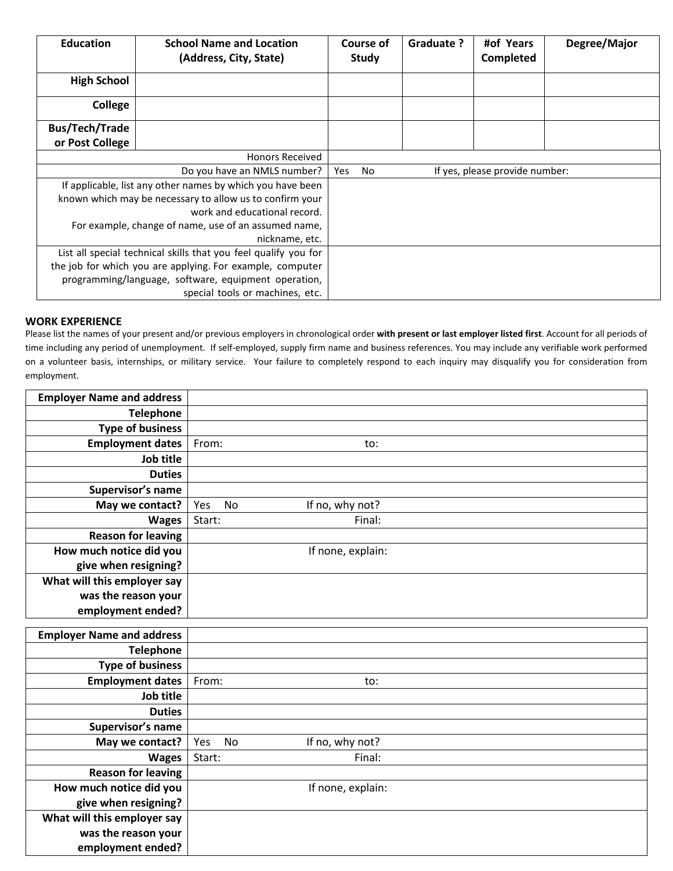| <b>Education</b>                                                                                                                                                                                                                 | <b>School Name and Location</b><br>(Address, City, State) | Course of<br><b>Study</b>                   | Graduate ? | #of Years<br>Completed | Degree/Major |
|----------------------------------------------------------------------------------------------------------------------------------------------------------------------------------------------------------------------------------|-----------------------------------------------------------|---------------------------------------------|------------|------------------------|--------------|
| <b>High School</b>                                                                                                                                                                                                               |                                                           |                                             |            |                        |              |
| College                                                                                                                                                                                                                          |                                                           |                                             |            |                        |              |
| <b>Bus/Tech/Trade</b>                                                                                                                                                                                                            |                                                           |                                             |            |                        |              |
| or Post College                                                                                                                                                                                                                  |                                                           |                                             |            |                        |              |
|                                                                                                                                                                                                                                  | <b>Honors Received</b>                                    |                                             |            |                        |              |
|                                                                                                                                                                                                                                  | Do you have an NMLS number?                               | Yes<br>No<br>If yes, please provide number: |            |                        |              |
| If applicable, list any other names by which you have been<br>known which may be necessary to allow us to confirm your<br>work and educational record.<br>For example, change of name, use of an assumed name,<br>nickname, etc. |                                                           |                                             |            |                        |              |
| List all special technical skills that you feel qualify you for<br>the job for which you are applying. For example, computer<br>programming/language, software, equipment operation,                                             |                                                           |                                             |            |                        |              |

## **WORK EXPERIENCE**

Please list the names of your present and/or previous employers in chronological order **with present or last employer listed first**. Account for all periods of time including any period of unemployment. If self-employed, supply firm name and business references. You may include any verifiable work performed on a volunteer basis, internships, or military service. Your failure to completely respond to each inquiry may disqualify you for consideration from employment.

| <b>Employer Name and address</b>     |                                     |
|--------------------------------------|-------------------------------------|
| <b>Telephone</b>                     |                                     |
| <b>Type of business</b>              |                                     |
| <b>Employment dates</b>              | From:<br>to:                        |
| Job title                            |                                     |
| <b>Duties</b>                        |                                     |
| Supervisor's name                    |                                     |
| May we contact?                      | Yes<br><b>No</b><br>If no, why not? |
| <b>Wages</b>                         | Start:<br>Final:                    |
| <b>Reason for leaving</b>            |                                     |
| How much notice did you              | If none, explain:                   |
| give when resigning?                 |                                     |
| What will this employer say          |                                     |
| was the reason your                  |                                     |
| employment ended?                    |                                     |
|                                      |                                     |
|                                      |                                     |
| <b>Employer Name and address</b>     |                                     |
| <b>Telephone</b>                     |                                     |
| <b>Type of business</b>              | From:<br>to:                        |
| <b>Employment dates</b><br>Job title |                                     |
| <b>Duties</b>                        |                                     |
| Supervisor's name                    |                                     |
| May we contact?                      | Yes<br><b>No</b><br>If no, why not? |
| <b>Wages</b>                         | Start:<br>Final:                    |
| <b>Reason for leaving</b>            |                                     |
| How much notice did you              | If none, explain:                   |
| give when resigning?                 |                                     |
| What will this employer say          |                                     |
| was the reason your                  |                                     |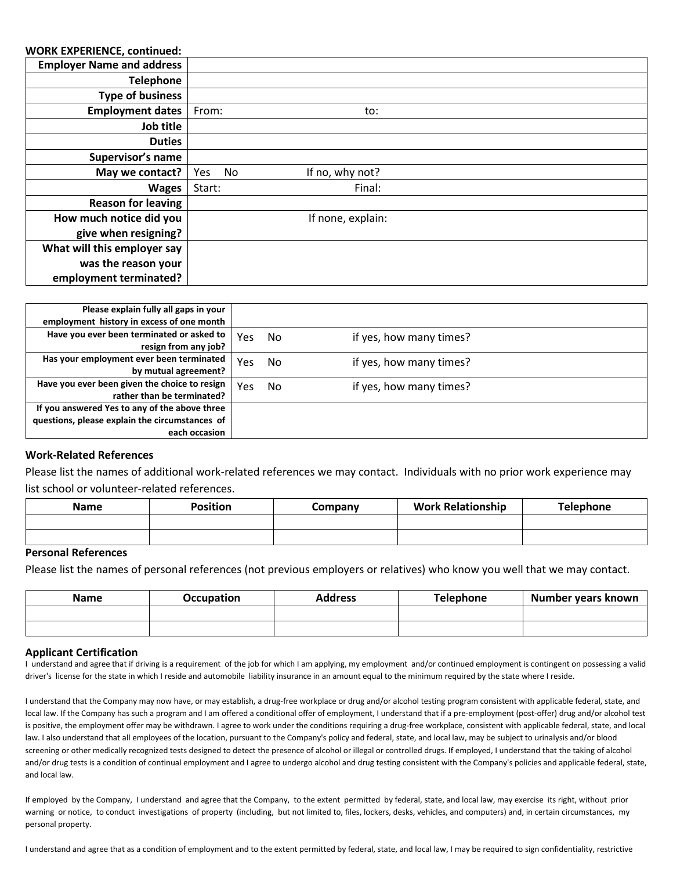### **WORK EXPERIENCE, continued:**

| WONN EXPENIENCE, CONTINUED.      |           |                   |  |
|----------------------------------|-----------|-------------------|--|
| <b>Employer Name and address</b> |           |                   |  |
| <b>Telephone</b>                 |           |                   |  |
| <b>Type of business</b>          |           |                   |  |
| <b>Employment dates</b>          | From:     | to:               |  |
| Job title                        |           |                   |  |
| <b>Duties</b>                    |           |                   |  |
| Supervisor's name                |           |                   |  |
| May we contact?                  | Yes<br>No | If no, why not?   |  |
| <b>Wages</b>                     | Start:    | Final:            |  |
| <b>Reason for leaving</b>        |           |                   |  |
| How much notice did you          |           | If none, explain: |  |
| give when resigning?             |           |                   |  |
| What will this employer say      |           |                   |  |
| was the reason your              |           |                   |  |
| employment terminated?           |           |                   |  |

| Please explain fully all gaps in your<br>employment history in excess of one month |     |    |                         |
|------------------------------------------------------------------------------------|-----|----|-------------------------|
| Have you ever been terminated or asked to<br>resign from any job?                  | Yes | No | if yes, how many times? |
| Has your employment ever been terminated<br>by mutual agreement?                   | Yes | No | if yes, how many times? |
| Have you ever been given the choice to resign                                      | Yes | No | if yes, how many times? |
| rather than be terminated?<br>If you answered Yes to any of the above three        |     |    |                         |
| questions, please explain the circumstances of<br>each occasion                    |     |    |                         |

#### **Work-Related References**

Please list the names of additional work-related references we may contact. Individuals with no prior work experience may list school or volunteer-related references.

| <b>Name</b> | <b>Position</b> | Company | <b>Work Relationship</b> | <b>Telephone</b> |
|-------------|-----------------|---------|--------------------------|------------------|
|             |                 |         |                          |                  |
|             |                 |         |                          |                  |

#### **Personal References**

Please list the names of personal references (not previous employers or relatives) who know you well that we may contact.

| Name | <b>Occupation</b> | <b>Address</b> | <b>Telephone</b> | Number years known |
|------|-------------------|----------------|------------------|--------------------|
|      |                   |                |                  |                    |
|      |                   |                |                  |                    |

#### **Applicant Certification**

I understand and agree that if driving is a requirement of the job for which I am applying, my employment and/or continued employment is contingent on possessing a valid driver's license for the state in which I reside and automobile liability insurance in an amount equal to the minimum required by the state where I reside.

I understand that the Company may now have, or may establish, a drug-free workplace or drug and/or alcohol testing program consistent with applicable federal, state, and local law. If the Company has such a program and I am offered a conditional offer of employment, I understand that if a pre-employment (post-offer) drug and/or alcohol test is positive, the employment offer may be withdrawn. I agree to work under the conditions requiring a drug-free workplace, consistent with applicable federal, state, and local law. I also understand that all employees of the location, pursuant to the Company's policy and federal, state, and local law, may be subject to urinalysis and/or blood screening or other medically recognized tests designed to detect the presence of alcohol or illegal or controlled drugs. If employed, I understand that the taking of alcohol and/or drug tests is a condition of continual employment and I agree to undergo alcohol and drug testing consistent with the Company's policies and applicable federal, state, and local law.

If employed by the Company, I understand and agree that the Company, to the extent permitted by federal, state, and local law, may exercise its right, without prior warning or notice, to conduct investigations of property (including, but not limited to, files, lockers, desks, vehicles, and computers) and, in certain circumstances, my personal property.

I understand and agree that as a condition of employment and to the extent permitted by federal, state, and local law, I may be required to sign confidentiality, restrictive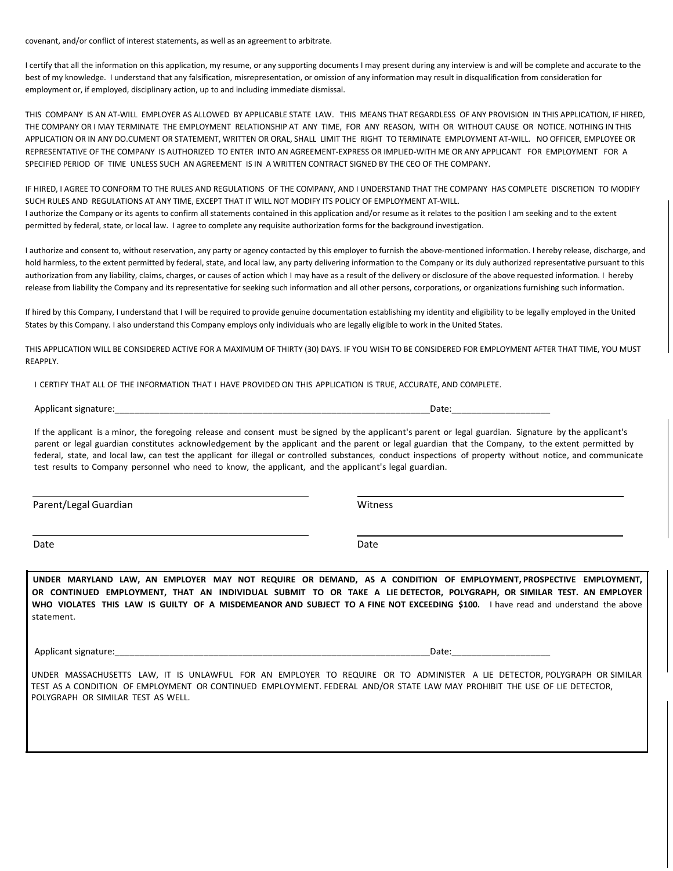covenant, and/or conflict of interest statements, as well as an agreement to arbitrate.

I certify that all the information on this application, my resume, or any supporting documents I may present during any interview is and will be complete and accurate to the best of my knowledge. I understand that any falsification, misrepresentation, or omission of any information may result in disqualification from consideration for employment or, if employed, disciplinary action, up to and including immediate dismissal.

THIS COMPANY IS AN AT-WILL EMPLOYER AS ALLOWED BY APPLICABLE STATE LAW. THIS MEANS THAT REGARDLESS OF ANY PROVISION IN THIS APPLICATION, IF HIRED, THE COMPANY OR I MAY TERMINATE THE EMPLOYMENT RELATIONSHIP AT ANY TIME, FOR ANY REASON, WITH OR WITHOUT CAUSE OR NOTICE. NOTHING IN THIS APPLICATION OR IN ANY DO.CUMENT OR STATEMENT, WRITTEN OR ORAL, SHALL LIMIT THE RIGHT TO TERMINATE EMPLOYMENT AT-WILL. NO OFFICER, EMPLOYEE OR REPRESENTATIVE OF THE COMPANY IS AUTHORIZED TO ENTER INTO AN AGREEMENT-EXPRESS OR IMPLIED-WITH ME OR ANY APPLICANT FOR EMPLOYMENT FOR A SPECIFIED PERIOD OF TIME UNLESS SUCH AN AGREEMENT IS IN A WRITTEN CONTRACT SIGNED BY THE CEO OF THE COMPANY.

IF HIRED, I AGREE TO CONFORM TO THE RULES AND REGULATIONS OF THE COMPANY, AND I UNDERSTAND THAT THE COMPANY HAS COMPLETE DISCRETION TO MODIFY SUCH RULES AND REGULATIONS AT ANY TIME, EXCEPT THAT IT WILL NOT MODIFY ITS POLICY OF EMPLOYMENT AT-WILL. I authorize the Company or its agents to confirm all statements contained in this application and/or resume as it relates to the position I am seeking and to the extent permitted by federal, state, or local law. I agree to complete any requisite authorization forms for the background investigation.

I authorize and consent to, without reservation, any party or agency contacted by this employer to furnish the above-mentioned information. I hereby release, discharge, and hold harmless, to the extent permitted by federal, state, and local law, any party delivering information to the Company or its duly authorized representative pursuant to this authorization from any liability, claims, charges, or causes of action which I may have as a result of the delivery or disclosure of the above requested information. I hereby release from liability the Company and its representative for seeking such information and all other persons, corporations, or organizations furnishing such information.

If hired by this Company, I understand that I will be required to provide genuine documentation establishing my identity and eligibility to be legally employed in the United States by this Company. I also understand this Company employs only individuals who are legally eligible to work in the United States.

THIS APPLICATION WILL BE CONSIDERED ACTIVE FOR A MAXIMUM OF THIRTY (30) DAYS. IF YOU WISH TO BE CONSIDERED FOR EMPLOYMENT AFTER THAT TIME, YOU MUST REAPPLY.

I CERTIFY THAT ALL OF THE INFORMATION THAT I HAVE PROVIDED ON THIS APPLICATION IS TRUE, ACCURATE, AND COMPLETE.

Applicant signature:\_\_\_\_\_\_\_\_\_\_\_\_\_\_\_\_\_\_\_\_\_\_\_\_\_\_\_\_\_\_\_\_\_\_\_\_\_\_\_\_\_\_\_\_\_\_\_\_\_\_\_\_\_\_\_\_\_\_\_\_\_\_\_\_Date:\_\_\_\_\_\_\_\_\_\_\_\_\_\_\_\_\_\_\_\_

If the applicant is a minor, the foregoing release and consent must be signed by the applicant's parent or legal guardian. Signature by the applicant's parent or legal guardian constitutes acknowledgement by the applicant and the parent or legal guardian that the Company, to the extent permitted by federal, state, and local law, can test the applicant for illegal or controlled substances, conduct inspections of property without notice, and communicate test results to Company personnel who need to know, the applicant, and the applicant's legal guardian.

Parent/Legal Guardian Witness

Date **Date Date Date Date Date Date Date Date Date Date** 

**UNDER MARYLAND LAW, AN EMPLOYER MAY NOT REQUIRE OR DEMAND, AS A CONDITION OF EMPLOYMENT, PROSPECTIVE EMPLOYMENT, OR CONTINUED EMPLOYMENT, THAT AN INDIVIDUAL SUBMIT TO OR TAKE A LIE DETECTOR, POLYGRAPH, OR SIMILAR TEST. AN EMPLOYER WHO VIOLATES THIS LAW IS GUILTY OF A MISDEMEANOR AND SUBJECT TO A FINE NOT EXCEEDING \$100.** I have read and understand the above statement.

Applicant signature:\_\_\_\_\_\_\_\_\_\_\_\_\_\_\_\_\_\_\_\_\_\_\_\_\_\_\_\_\_\_\_\_\_\_\_\_\_\_\_\_\_\_\_\_\_\_\_\_\_\_\_\_\_\_\_\_\_\_\_\_\_\_\_\_Date:\_\_\_\_\_\_\_\_\_\_\_\_\_\_\_\_\_\_\_\_

UNDER MASSACHUSETTS LAW, IT IS UNLAWFUL FOR AN EMPLOYER TO REQUIRE OR TO ADMINISTER A LIE DETECTOR, POLYGRAPH OR SIMILAR TEST AS A CONDITION OF EMPLOYMENT OR CONTINUED EMPLOYMENT. FEDERAL AND/OR STATE LAW MAY PROHIBIT THE USE OF LIE DETECTOR, POLYGRAPH OR SIMILAR TEST AS WELL.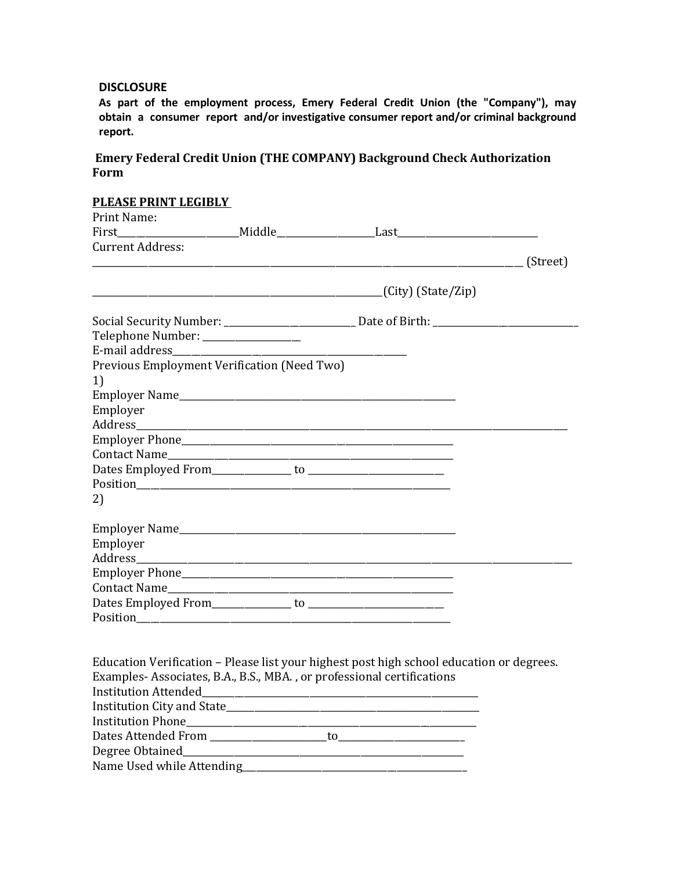## **DISCLOSURE**

**As part of the employment process, Emery Federal Credit Union (the "Company"), may obtain a consumer report and/or investigative consumer report and/or criminal background report.**

# **Emery Federal Credit Union (THE COMPANY) Background Check Authorization Form**

# **PLEASE PRINT LEGIBLY**  Print Name: First\_\_\_\_\_\_\_\_\_\_\_\_\_\_\_\_\_\_\_\_\_\_\_\_\_\_Middle\_\_\_\_\_\_\_\_\_\_\_\_\_\_\_\_\_\_\_\_\_Last\_\_\_\_\_\_\_\_\_\_\_\_\_\_\_\_\_\_\_\_\_\_\_\_\_\_\_\_\_\_ Current Address:  $\frac{1}{\sqrt{2\pi}}$  (Street)  $(City)$  (State/Zip) Social Security Number: \_\_\_\_\_\_\_\_\_\_\_\_\_\_\_\_\_\_\_\_\_\_\_\_\_\_\_\_ Date of Birth: \_\_\_\_\_\_\_\_\_\_\_\_\_\_\_\_\_\_\_\_\_\_\_\_\_\_\_\_\_\_\_ Telephone Number: \_\_\_\_\_\_\_\_\_\_\_\_\_\_\_\_\_\_\_\_\_ E-mail address\_\_\_\_\_\_\_\_\_\_\_\_\_\_\_\_\_\_\_\_\_\_\_\_\_\_\_\_\_\_\_\_\_\_\_\_\_\_\_\_\_\_\_\_\_\_\_\_\_\_ Previous Employment Verification (Need Two) 1) Employer Name\_\_\_\_\_\_\_\_\_\_\_\_\_\_\_\_\_\_\_\_\_\_\_\_\_\_\_\_\_\_\_\_\_\_\_\_\_\_\_\_\_\_\_\_\_\_\_\_\_\_\_\_\_\_\_\_\_\_\_ Employer Address Employer Phone\_\_\_\_\_\_\_\_\_\_\_\_\_\_\_\_\_\_\_\_\_\_\_\_\_\_\_\_\_\_\_\_\_\_\_\_\_\_\_\_\_\_\_\_\_\_\_\_\_\_\_\_\_\_\_\_\_\_ Contact Name Dates Employed From\_\_\_\_\_\_\_\_\_\_\_\_\_\_\_\_\_ to \_\_\_\_\_\_\_\_\_\_\_\_\_\_\_\_\_\_\_\_\_\_\_\_\_\_\_\_\_ Position 2) Employer Name Employer<br>Address\_\_\_\_ Employer Phone\_\_\_\_\_\_\_\_\_\_\_\_\_\_\_\_\_\_\_\_\_\_\_\_\_\_\_\_\_\_\_\_\_\_\_\_\_\_\_\_\_\_\_\_\_\_\_\_\_\_\_\_\_\_\_\_\_\_ Contact Name Dates Employed From\_\_\_\_\_\_\_\_\_\_\_\_\_\_\_\_\_ to \_\_\_\_\_\_\_\_\_\_\_\_\_\_\_\_\_\_\_\_\_\_\_\_\_\_\_\_\_ Position Education Verification – Please list your highest post high school education or degrees. Examples- Associates, B.A., B.S., MBA. , or professional certifications Institution Attended\_\_\_\_\_\_\_\_\_\_\_\_\_\_\_\_\_\_\_\_\_\_\_\_\_\_\_\_\_\_\_\_\_\_\_\_\_\_\_\_\_\_\_\_\_\_\_\_\_\_\_\_\_\_\_\_\_\_\_ Institution City and State\_\_\_\_\_\_\_\_\_\_\_\_\_\_\_\_\_\_\_\_\_\_\_\_\_\_\_\_\_\_\_\_\_\_\_\_\_\_\_\_\_\_\_\_\_\_\_\_\_\_\_\_\_\_ Institution Phone\_\_\_\_\_\_\_\_\_\_\_\_\_\_\_\_\_\_\_\_\_\_\_\_\_\_\_\_\_\_\_\_\_\_\_\_\_\_\_\_\_\_\_\_\_\_\_\_\_\_\_\_\_\_\_\_\_\_\_\_\_\_ Dates Attended From \_\_\_\_\_\_\_\_\_\_\_\_\_\_\_\_\_\_\_\_\_\_\_\_\_to\_\_\_\_\_\_\_\_\_\_\_\_\_\_\_\_\_\_\_\_\_\_\_\_\_\_\_ Degree Obtained Name Used while Attending\_\_\_\_\_\_\_\_\_\_\_\_\_\_\_\_\_\_\_\_\_\_\_\_\_\_\_\_\_\_\_\_\_\_\_\_\_\_\_\_\_\_\_\_\_\_\_\_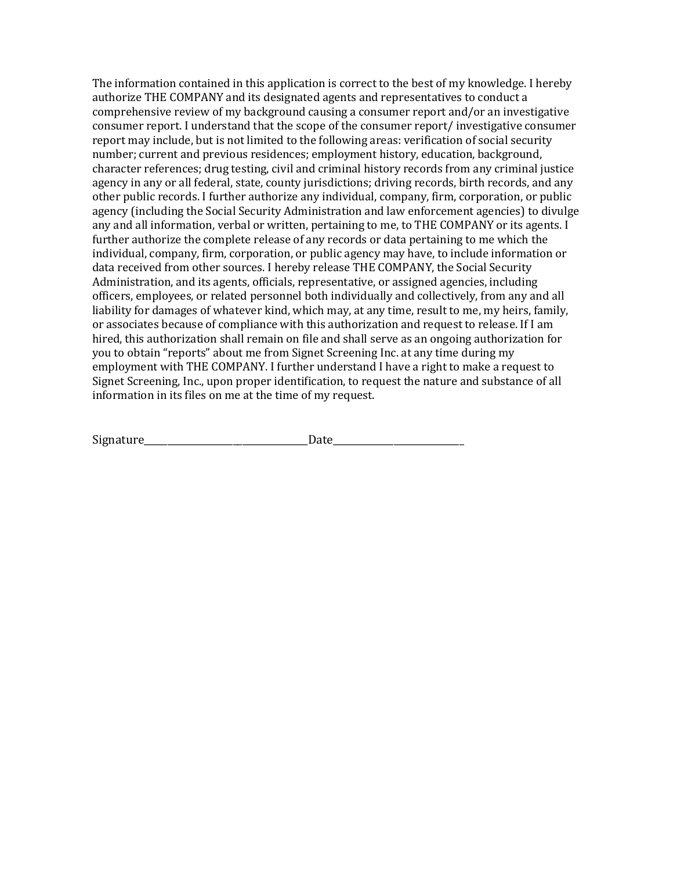The information contained in this application is correct to the best of my knowledge. I hereby authorize THE COMPANY and its designated agents and representatives to conduct a comprehensive review of my background causing a consumer report and/or an investigative consumer report. I understand that the scope of the consumer report/ investigative consumer report may include, but is not limited to the following areas: verification of social security number; current and previous residences; employment history, education, background, character references; drug testing, civil and criminal history records from any criminal justice agency in any or all federal, state, county jurisdictions; driving records, birth records, and any other public records. I further authorize any individual, company, firm, corporation, or public agency (including the Social Security Administration and law enforcement agencies) to divulge any and all information, verbal or written, pertaining to me, to THE COMPANY or its agents. I further authorize the complete release of any records or data pertaining to me which the individual, company, firm, corporation, or public agency may have, to include information or data received from other sources. I hereby release THE COMPANY, the Social Security Administration, and its agents, officials, representative, or assigned agencies, including officers, employees, or related personnel both individually and collectively, from any and all liability for damages of whatever kind, which may, at any time, result to me, my heirs, family, or associates because of compliance with this authorization and request to release. If I am hired, this authorization shall remain on file and shall serve as an ongoing authorization for you to obtain "reports" about me from Signet Screening Inc. at any time during my employment with THE COMPANY. I further understand I have a right to make a request to Signet Screening, Inc., upon proper identification, to request the nature and substance of all information in its files on me at the time of my request.

| Signature |  |
|-----------|--|
|           |  |